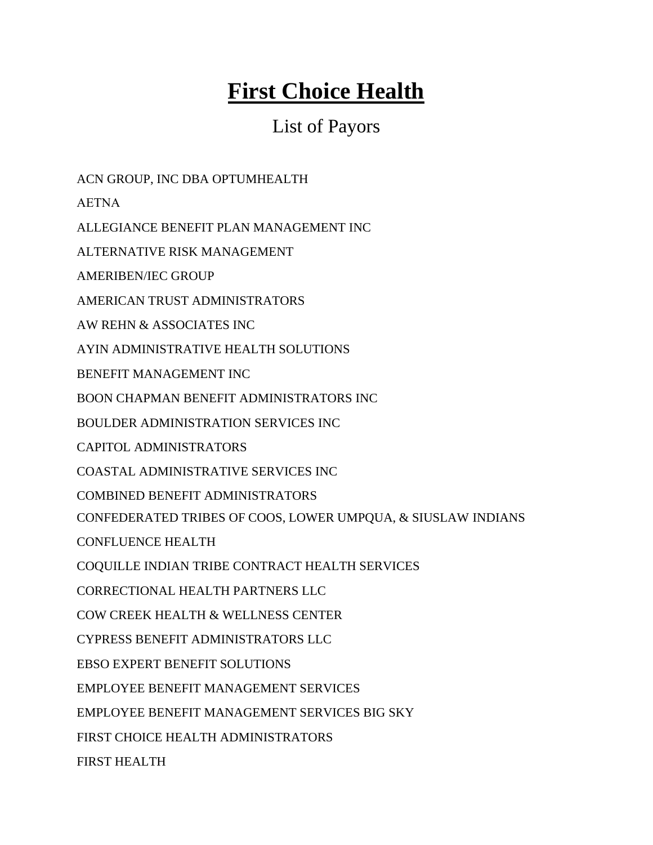## **First Choice Health**

## List of Payors

ACN GROUP, INC DBA OPTUMHEALTH

AETNA

ALLEGIANCE BENEFIT PLAN MANAGEMENT INC

ALTERNATIVE RISK MANAGEMENT

AMERIBEN/IEC GROUP

AMERICAN TRUST ADMINISTRATORS

AW REHN & ASSOCIATES INC

AYIN ADMINISTRATIVE HEALTH SOLUTIONS

BENEFIT MANAGEMENT INC

BOON CHAPMAN BENEFIT ADMINISTRATORS INC

BOULDER ADMINISTRATION SERVICES INC

CAPITOL ADMINISTRATORS

COASTAL ADMINISTRATIVE SERVICES INC

COMBINED BENEFIT ADMINISTRATORS

CONFEDERATED TRIBES OF COOS, LOWER UMPQUA, & SIUSLAW INDIANS

CONFLUENCE HEALTH

COQUILLE INDIAN TRIBE CONTRACT HEALTH SERVICES

CORRECTIONAL HEALTH PARTNERS LLC

COW CREEK HEALTH & WELLNESS CENTER

CYPRESS BENEFIT ADMINISTRATORS LLC

EBSO EXPERT BENEFIT SOLUTIONS

EMPLOYEE BENEFIT MANAGEMENT SERVICES

EMPLOYEE BENEFIT MANAGEMENT SERVICES BIG SKY

FIRST CHOICE HEALTH ADMINISTRATORS

FIRST HEALTH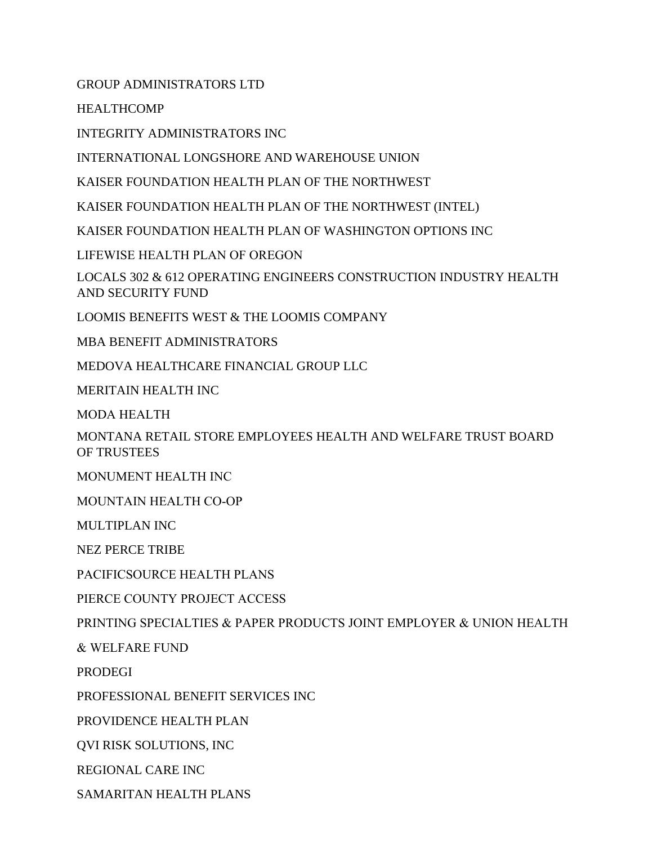GROUP ADMINISTRATORS LTD

**HEALTHCOMP** 

INTEGRITY ADMINISTRATORS INC

INTERNATIONAL LONGSHORE AND WAREHOUSE UNION

KAISER FOUNDATION HEALTH PLAN OF THE NORTHWEST

KAISER FOUNDATION HEALTH PLAN OF THE NORTHWEST (INTEL)

KAISER FOUNDATION HEALTH PLAN OF WASHINGTON OPTIONS INC

LIFEWISE HEALTH PLAN OF OREGON

LOCALS 302 & 612 OPERATING ENGINEERS CONSTRUCTION INDUSTRY HEALTH AND SECURITY FUND

LOOMIS BENEFITS WEST & THE LOOMIS COMPANY

MBA BENEFIT ADMINISTRATORS

MEDOVA HEALTHCARE FINANCIAL GROUP LLC

MERITAIN HEALTH INC

MODA HEALTH

MONTANA RETAIL STORE EMPLOYEES HEALTH AND WELFARE TRUST BOARD OF TRUSTEES

MONUMENT HEALTH INC

MOUNTAIN HEALTH CO-OP

MULTIPLAN INC

NEZ PERCE TRIBE

PACIFICSOURCE HEALTH PLANS

PIERCE COUNTY PROJECT ACCESS

PRINTING SPECIALTIES & PAPER PRODUCTS JOINT EMPLOYER & UNION HEALTH

& WELFARE FUND

PRODEGI

PROFESSIONAL BENEFIT SERVICES INC

PROVIDENCE HEALTH PLAN

QVI RISK SOLUTIONS, INC

REGIONAL CARE INC

SAMARITAN HEALTH PLANS